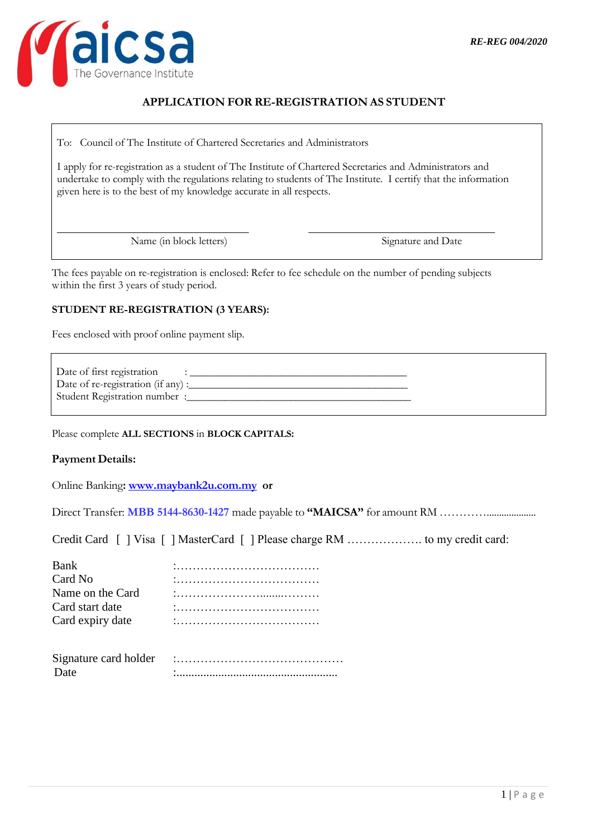

# **APPLICATION FOR RE-REGISTRATION AS STUDENT**

To: Council of The Institute of Chartered Secretaries and Administrators

I apply for re-registration as a student of The Institute of Chartered Secretaries and Administrators and undertake to comply with the regulations relating to students of The Institute. I certify that the information given here is to the best of my knowledge accurate in all respects.

Name (in block letters) Signature and Date

The fees payable on re-registration is enclosed: Refer to fee schedule on the number of pending subjects within the first 3 years of study period.

## **STUDENT RE-REGISTRATION (3 YEARS):**

Fees enclosed with proof online payment slip.

Date of first registration  $\qquad \qquad : \qquad \qquad$  Date of re-registration (if any) :\_\_\_\_\_\_\_\_\_\_\_\_\_\_\_\_\_\_\_\_\_\_\_\_\_\_\_\_\_\_\_\_\_\_\_\_\_\_\_\_ Student Registration number :\_\_\_\_\_\_\_\_\_\_\_\_\_\_\_\_\_\_\_\_\_\_\_\_\_\_\_\_\_\_\_\_\_\_\_\_\_\_\_\_\_

Please complete **ALL SECTIONS** in **BLOCK CAPITALS:**

## **Payment Details:**

Online Banking**: [www.maybank2u.com.my](http://www.maybank2u.com.my/) or**

Direct Transfer: **MBB 5144-8630-1427** made payable to **"MAICSA"** for amount RM …………....................

Credit Card [ ] Visa [ ] MasterCard [ ] Please charge RM ………………. to my credit card:

| Bank             |                |
|------------------|----------------|
| Card No          |                |
| Name on the Card |                |
| Card start date  |                |
| Card expiry date | $\blacksquare$ |
|                  |                |

| Signature card holder |  |
|-----------------------|--|
|                       |  |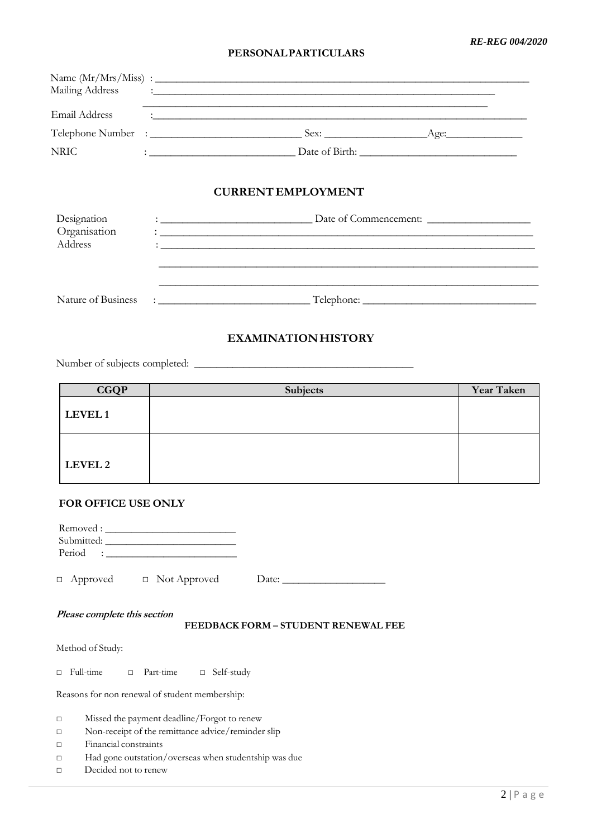## **PERSONALPARTICULARS**

| Mailing Address |                                                                                                                                                                                                                                      | <u> 1980 - Jan Alexander (f. 1980)</u>              |      |
|-----------------|--------------------------------------------------------------------------------------------------------------------------------------------------------------------------------------------------------------------------------------|-----------------------------------------------------|------|
| Email Address   |                                                                                                                                                                                                                                      | <u> 1980 - Johann Stein, marwolaethau (b. 1980)</u> |      |
|                 |                                                                                                                                                                                                                                      |                                                     | Age: |
| <b>NRIC</b>     | <u> : a construction de la construction de la construction de la construction de la construction de la construction de la construction de la construction de la construction de la construction de la construction de la constru</u> |                                                     |      |
|                 |                                                                                                                                                                                                                                      |                                                     |      |

# **CURRENT EMPLOYMENT**

| Designation<br>Organisation | Date of Commencement: |
|-----------------------------|-----------------------|
| Address                     |                       |
|                             |                       |
|                             |                       |
| Nature of Business          | Telephone:            |

# **EXAMINATIONHISTORY**

Number of subjects completed: \_\_\_\_\_\_\_\_\_\_\_\_\_\_\_\_\_\_\_\_\_\_\_\_\_\_\_\_\_\_\_\_\_\_\_\_\_\_\_\_

| <b>CGQP</b>    | <b>Subjects</b> | <b>Year Taken</b> |
|----------------|-----------------|-------------------|
| LEVEL 1        |                 |                   |
| <b>LEVEL 2</b> |                 |                   |

## **FOR OFFICE USE ONLY**

| $Period : \_$                                                       |  |  |  |
|---------------------------------------------------------------------|--|--|--|
| $\Delta$ pproved $\Box$ Not Approved                                |  |  |  |
| Please complete this section<br>FEEDBACK FORM - STUDENT RENEWAL FEE |  |  |  |
| Method of Study:                                                    |  |  |  |
| Full-time $\Box$ Part-time $\Box$ Self-study<br>П                   |  |  |  |
| Reasons for non renewal of student membership:                      |  |  |  |
| Missed the payment deadline/Forgot to renew<br>П                    |  |  |  |
| Non-receipt of the remittance advice/reminder slip                  |  |  |  |
| Financial constraints                                               |  |  |  |
| Had gone outstation/overseas when studentship was due               |  |  |  |
| $\mathbf{D}$ and $\mathbf{D}$ and $\mathbf{D}$ and $\mathbf{D}$     |  |  |  |

□ Decided not to renew